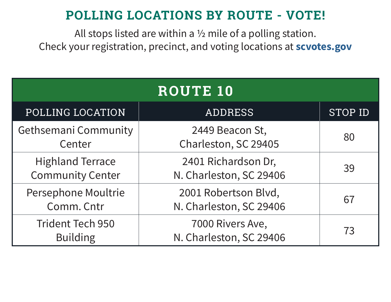| <b>ROUTE 10</b>                                    |                                                 |                |
|----------------------------------------------------|-------------------------------------------------|----------------|
| POLLING LOCATION                                   | <b>ADDRESS</b>                                  | <b>STOP ID</b> |
| <b>Gethsemani Community</b><br>Center              | 2449 Beacon St,<br>Charleston, SC 29405         | 80             |
| <b>Highland Terrace</b><br><b>Community Center</b> | 2401 Richardson Dr,<br>N. Charleston, SC 29406  | 39             |
| Persephone Moultrie<br>Comm. Cntr                  | 2001 Robertson Blvd,<br>N. Charleston, SC 29406 | 67             |
| <b>Trident Tech 950</b><br><b>Building</b>         | 7000 Rivers Ave,<br>N. Charleston, SC 29406     | 73             |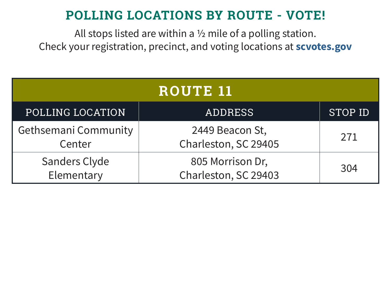| <b>ROUTE 11</b>                       |                                          |                |
|---------------------------------------|------------------------------------------|----------------|
| POLLING LOCATION                      | <b>ADDRESS</b>                           | <b>STOP ID</b> |
| <b>Gethsemani Community</b><br>Center | 2449 Beacon St,<br>Charleston, SC 29405  | 271            |
| <b>Sanders Clyde</b><br>Elementary    | 805 Morrison Dr,<br>Charleston, SC 29403 | 304            |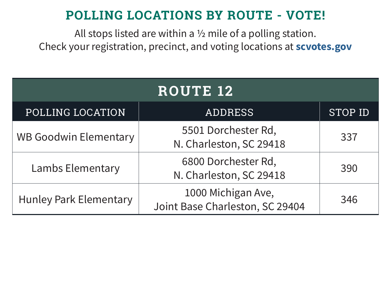| <b>ROUTE 12</b>               |                                                       |                |
|-------------------------------|-------------------------------------------------------|----------------|
| POLLING LOCATION              | <b>ADDRESS</b>                                        | <b>STOP ID</b> |
| <b>WB Goodwin Elementary</b>  | 5501 Dorchester Rd,<br>N. Charleston, SC 29418        | 337            |
| <b>Lambs Elementary</b>       | 6800 Dorchester Rd,<br>N. Charleston, SC 29418        | 390            |
| <b>Hunley Park Elementary</b> | 1000 Michigan Ave,<br>Joint Base Charleston, SC 29404 | 346            |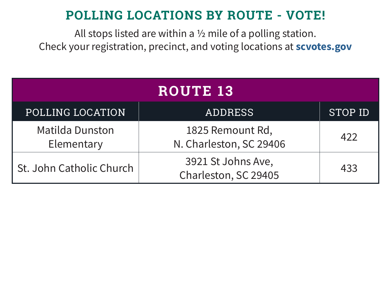| <b>ROUTE 13</b>                      |                                             |                |
|--------------------------------------|---------------------------------------------|----------------|
| POLLING LOCATION                     | <b>ADDRESS</b>                              | <b>STOP ID</b> |
| <b>Matilda Dunston</b><br>Elementary | 1825 Remount Rd,<br>N. Charleston, SC 29406 | 422            |
| St. John Catholic Church             | 3921 St Johns Ave,<br>Charleston, SC 29405  | 433            |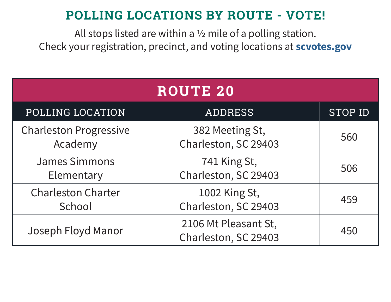| <b>ROUTE 20</b>                          |                                              |                |
|------------------------------------------|----------------------------------------------|----------------|
| POLLING LOCATION                         | ADDRESS                                      | <b>STOP ID</b> |
| <b>Charleston Progressive</b><br>Academy | 382 Meeting St,<br>Charleston, SC 29403      | 560            |
| <b>James Simmons</b><br>Elementary       | 741 King St,<br>Charleston, SC 29403         | 506            |
| <b>Charleston Charter</b><br>School      | 1002 King St,<br>Charleston, SC 29403        | 459            |
| Joseph Floyd Manor                       | 2106 Mt Pleasant St,<br>Charleston, SC 29403 | 450            |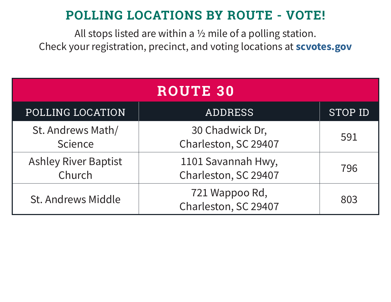| <b>ROUTE 30</b>                       |                                            |                |
|---------------------------------------|--------------------------------------------|----------------|
| POLLING LOCATION                      | <b>ADDRESS</b>                             | <b>STOP ID</b> |
| St. Andrews Math/<br>Science          | 30 Chadwick Dr,<br>Charleston, SC 29407    | 591            |
| <b>Ashley River Baptist</b><br>Church | 1101 Savannah Hwy,<br>Charleston, SC 29407 | 796            |
| <b>St. Andrews Middle</b>             | 721 Wappoo Rd,<br>Charleston, SC 29407     | 803            |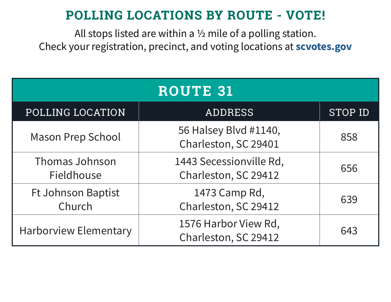| <b>ROUTE 31</b>                     |                                                 |                |
|-------------------------------------|-------------------------------------------------|----------------|
| POLLING LOCATION                    | <b>ADDRESS</b>                                  | <b>STOP ID</b> |
| <b>Mason Prep School</b>            | 56 Halsey Blvd #1140,<br>Charleston, SC 29401   | 858            |
| <b>Thomas Johnson</b><br>Fieldhouse | 1443 Secessionville Rd,<br>Charleston, SC 29412 | 656            |
| <b>Ft Johnson Baptist</b><br>Church | 1473 Camp Rd,<br>Charleston, SC 29412           | 639            |
| <b>Harborview Elementary</b>        | 1576 Harbor View Rd,<br>Charleston, SC 29412    | 643            |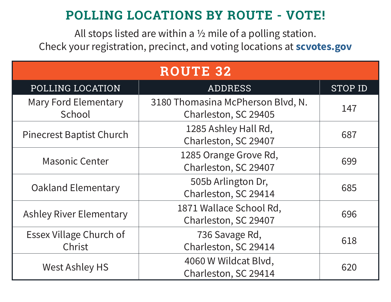| <b>ROUTE 32</b>                          |                                                           |                |
|------------------------------------------|-----------------------------------------------------------|----------------|
| POLLING LOCATION                         | <b>ADDRESS</b>                                            | <b>STOP ID</b> |
| <b>Mary Ford Elementary</b><br>School    | 3180 Thomasina McPherson Blvd, N.<br>Charleston, SC 29405 | 147            |
| <b>Pinecrest Baptist Church</b>          | 1285 Ashley Hall Rd,<br>Charleston, SC 29407              | 687            |
| <b>Masonic Center</b>                    | 1285 Orange Grove Rd,<br>Charleston, SC 29407             | 699            |
| <b>Oakland Elementary</b>                | 505b Arlington Dr,<br>Charleston, SC 29414                | 685            |
| <b>Ashley River Elementary</b>           | 1871 Wallace School Rd,<br>Charleston, SC 29407           | 696            |
| <b>Essex Village Church of</b><br>Christ | 736 Savage Rd,<br>Charleston, SC 29414                    | 618            |
| <b>West Ashley HS</b>                    | 4060 W Wildcat Blvd,<br>Charleston, SC 29414              | 620            |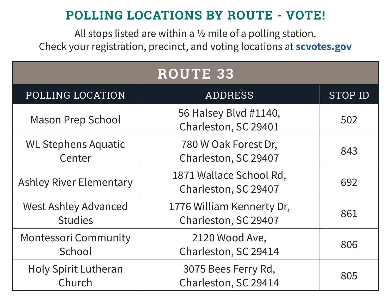| <b>ROUTE 33</b>                               |                                                   |                |
|-----------------------------------------------|---------------------------------------------------|----------------|
| POLLING LOCATION                              | <b>ADDRESS</b>                                    | <b>STOP ID</b> |
| <b>Mason Prep School</b>                      | 56 Halsey Blvd #1140,<br>Charleston, SC 29401     | 502            |
| <b>WL Stephens Aquatic</b><br>Center          | 780 W Oak Forest Dr,<br>Charleston, SC 29407      | 843            |
| <b>Ashley River Elementary</b>                | 1871 Wallace School Rd,<br>Charleston, SC 29407   | 692            |
| <b>West Ashley Advanced</b><br><b>Studies</b> | 1776 William Kennerty Dr,<br>Charleston, SC 29407 | 861            |
| <b>Montessori Community</b><br>School         | 2120 Wood Ave,<br>Charleston, SC 29414            | 806            |
| <b>Holy Spirit Lutheran</b><br>Church         | 3075 Bees Ferry Rd,<br>Charleston, SC 29414       | 805            |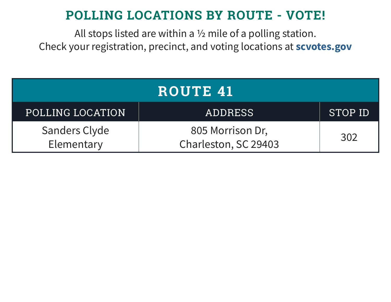| <b>ROUTE 41</b>                    |                                          |         |  |
|------------------------------------|------------------------------------------|---------|--|
| <b>POLLING LOCATION</b>            | <b>ADDRESS</b>                           | STOP ID |  |
| <b>Sanders Clyde</b><br>Elementary | 805 Morrison Dr,<br>Charleston, SC 29403 | 302     |  |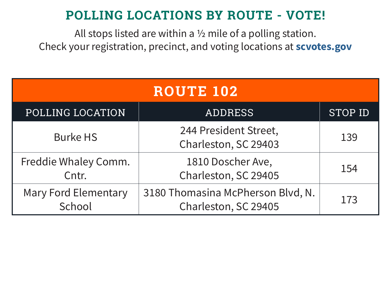| <b>ROUTE 102</b>                      |                                                           |                |
|---------------------------------------|-----------------------------------------------------------|----------------|
| POLLING LOCATION                      | <b>ADDRESS</b>                                            | <b>STOP ID</b> |
| <b>Burke HS</b>                       | 244 President Street,<br>Charleston, SC 29403             | 139            |
| Freddie Whaley Comm.<br>Cntr.         | 1810 Doscher Ave,<br>Charleston, SC 29405                 | 154            |
| <b>Mary Ford Elementary</b><br>School | 3180 Thomasina McPherson Blvd, N.<br>Charleston, SC 29405 | 173            |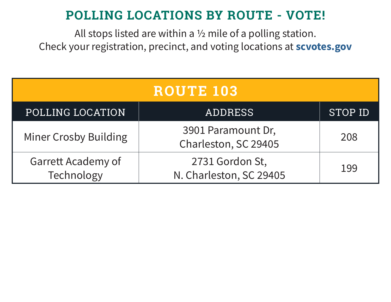| ROUTE 103                               |                                            |                |  |
|-----------------------------------------|--------------------------------------------|----------------|--|
| POLLING LOCATION                        | <b>ADDRESS</b>                             | <b>STOP ID</b> |  |
| <b>Miner Crosby Building</b>            | 3901 Paramount Dr,<br>Charleston, SC 29405 | 208            |  |
| <b>Garrett Academy of</b><br>Technology | 2731 Gordon St,<br>N. Charleston, SC 29405 | 199            |  |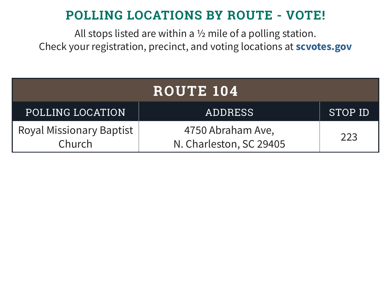| ROUTE 104                                 |                                              |                |  |
|-------------------------------------------|----------------------------------------------|----------------|--|
| POLLING LOCATION                          | <b>ADDRESS</b>                               | <b>STOP ID</b> |  |
| <b>Royal Missionary Baptist</b><br>Church | 4750 Abraham Ave,<br>N. Charleston, SC 29405 | 223            |  |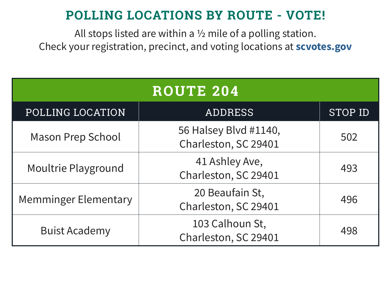| <b>ROUTE 204</b>            |                                               |                |  |
|-----------------------------|-----------------------------------------------|----------------|--|
| POLLING LOCATION            | <b>ADDRESS</b>                                | <b>STOP ID</b> |  |
| <b>Mason Prep School</b>    | 56 Halsey Blvd #1140,<br>Charleston, SC 29401 | 502            |  |
| Moultrie Playground         | 41 Ashley Ave,<br>Charleston, SC 29401        | 493            |  |
| <b>Memminger Elementary</b> | 20 Beaufain St,<br>Charleston, SC 29401       | 496            |  |
| <b>Buist Academy</b>        | 103 Calhoun St,<br>Charleston, SC 29401       | 498            |  |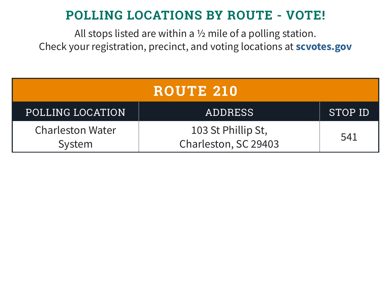| <b>ROUTE 210</b>                  |                                            |         |
|-----------------------------------|--------------------------------------------|---------|
| POLLING LOCATION                  | <b>ADDRESS</b>                             | STOP ID |
| <b>Charleston Water</b><br>System | 103 St Phillip St,<br>Charleston, SC 29403 | 541     |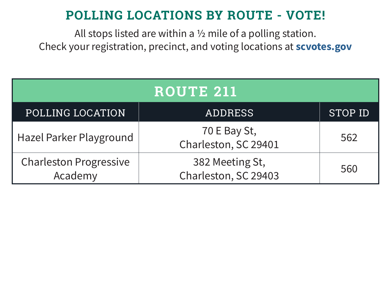| ROUTE 211                                |                                         |                |  |
|------------------------------------------|-----------------------------------------|----------------|--|
| POLLING LOCATION                         | <b>ADDRESS</b>                          | <b>STOP ID</b> |  |
| Hazel Parker Playground                  | 70 E Bay St,<br>Charleston, SC 29401    | 562            |  |
| <b>Charleston Progressive</b><br>Academy | 382 Meeting St,<br>Charleston, SC 29403 | 560            |  |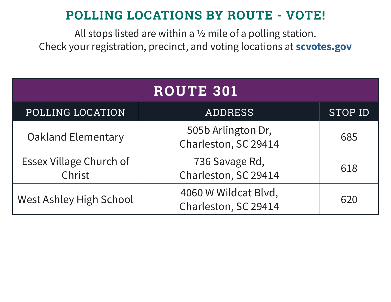| <b>ROUTE 301</b>                         |                                              |                |  |
|------------------------------------------|----------------------------------------------|----------------|--|
| POLLING LOCATION                         | <b>ADDRESS</b>                               | <b>STOP ID</b> |  |
| <b>Oakland Elementary</b>                | 505b Arlington Dr,<br>Charleston, SC 29414   | 685            |  |
| <b>Essex Village Church of</b><br>Christ | 736 Savage Rd,<br>Charleston, SC 29414       | 618            |  |
| <b>West Ashley High School</b>           | 4060 W Wildcat Blvd,<br>Charleston, SC 29414 | 620            |  |